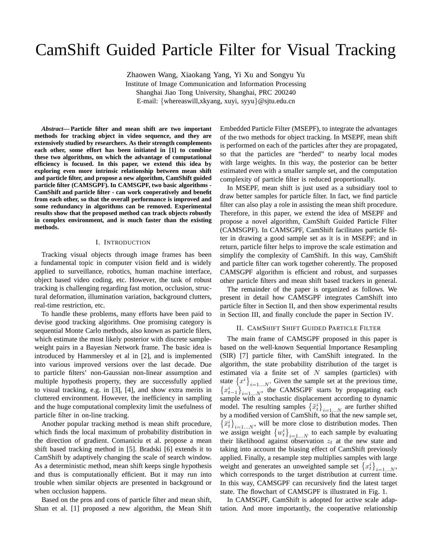# CamShift Guided Particle Filter for Visual Tracking

Zhaowen Wang, Xiaokang Yang, Yi Xu and Songyu Yu Institute of Image Communication and Information Processing Shanghai Jiao Tong University, Shanghai, PRC 200240 E-mail: {whereaswill,xkyang, xuyi, syyu}@sjtu.edu.cn

*Abstract***— Particle filter and mean shift are two important methods for tracking object in video sequence, and they are extensively studied by researchers. As their strength complements each other, some effort has been initiated in [1] to combine these two algorithms, on which the advantage of computational efficiency is focused. In this paper, we extend this idea by exploring even more intrinsic relationship between mean shift and particle filter, and propose a new algorithm, CamShift guided particle filter (CAMSGPF). In CAMSGPF, two basic algorithms - CamShift and particle filter - can work cooperatively and benefit from each other, so that the overall performance is improved and some redundancy in algorithms can be removed. Experimental results show that the proposed method can track objects robustly in complex environment, and is much faster than the existing methods.**

#### I. INTRODUCTION

Tracking visual objects through image frames has been a fundamental topic in computer vision field and is widely applied to surveillance, robotics, human machine interface, object based video coding, etc. However, the task of robust tracking is challenging regarding fast motion, occlusion, structural deformation, illumination variation, background clutters, real-time restriction, etc.

To handle these problems, many efforts have been paid to devise good tracking algorithms. One promising category is sequential Monte Carlo methods, also known as particle filers, which estimate the most likely posterior with discrete sampleweight pairs in a Bayesian Network frame. The basic idea is introduced by Hammersley et al in [2], and is implemented into various improved versions over the last decade. Due to particle filters' non-Gaussian non-linear assumption and multiple hypothesis property, they are successfully applied to visual tracking, e.g. in [3], [4], and show extra merits in cluttered environment. However, the inefficiency in sampling and the huge computational complexity limit the usefulness of particle filter in on-line tracking.

Another popular tracking method is mean shift procedure, which finds the local maximum of probability distribution in the direction of gradient. Comaniciu et al. propose a mean shift based tracking method in [5]. Bradski [6] extends it to CamShift by adaptively changing the scale of search window. As a deterministic method, mean shift keeps single hypothesis and thus is computationally efficient. But it may run into trouble when similar objects are presented in background or when occlusion happens.

Based on the pros and cons of particle filter and mean shift, Shan et al. [1] proposed a new algorithm, the Mean Shift Embedded Particle Filter (MSEPF), to integrate the advantages of the two methods for object tracking. In MSEPF, mean shift is performed on each of the particles after they are propagated, so that the particles are "herded" to nearby local modes with large weights. In this way, the posterior can be better estimated even with a smaller sample set, and the computation complexity of particle filter is reduced proportionally.

In MSEPF, mean shift is just used as a subsidiary tool to draw better samples for particle filter. In fact, we find particle filter can also play a role in assisting the mean shift procedure. Therefore, in this paper, we extend the idea of MSEPF and propose a novel algorithm, CamShift Guided Particle Filter (CAMSGPF). In CAMSGPF, CamShift facilitates particle filter in drawing a good sample set as it is in MSEPF; and in return, particle filter helps to improve the scale estimation and simplify the complexity of CamShift. In this way, CamShift and particle filter can work together coherently. The proposed CAMSGPF algorithm is efficient and robust, and surpasses other particle filters and mean shift based trackers in general.

The remainder of the paper is organized as follows. We present in detail how CAMSGPF integrates CamShift into particle filter in Section II, and then show experimental results in Section III, and finally conclude the paper in Section IV.

# II. CAMSHIFT SHIFT GUIDED PARTICLE FILTER

The main frame of CAMSGPF proposed in this paper is based on the well-known Sequential Importance Resampling (SIR) [7] particle filter, with CamShift integrated. In the algorithm, the state probability distribution of the target is estimated via a finite set of  $N$  samples (particles) with state  $\{x^i\}_{i=1...N}$ . Given the sample set at the previous time,  ${x_{t-1}^i}_{i=1...N}$ , the CAMSGPF starts by propagating each sample with a stochastic displacement according to dynamic model. The resulting samples  $\left\{\tilde{x}_t^i\right\}_{i=1...N}$  are further shifted by a modified version of CamShift, so that the new sample set,  $\{\bar{x}_t^i\}_{i=1...N}$ , will be more close to distribution modes. Then we assign weight  $\{w_t^i\}_{i=1...N}$  to each sample by evaluating their likelihood against observation  $z_t$  at the new state and taking into account the biasing effect of CamShift previously applied. Finally, a resample step multiplies samples with large weight and generates an unweighted sample set  $\{x_t^i\}_{i=1...N}$ , which corresponds to the target distribution at current time. In this way, CAMSGPF can recursively find the latest target state. The flowchart of CAMSGPF is illustrated in Fig. 1.

In CAMSGPF, CamShift is adopted for active scale adaptation. And more importantly, the cooperative relationship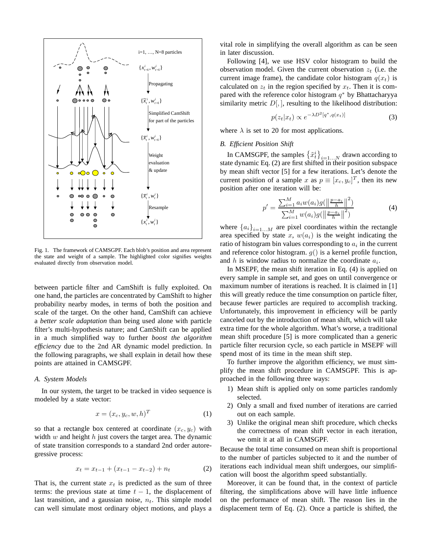

Fig. 1. The framework of CAMSGPF. Each blob's position and area represent the state and weight of a sample. The highlighted color signifies weights evaluated directly from observation model.

between particle filter and CamShift is fully exploited. On one hand, the particles are concentrated by CamShift to higher probability nearby modes, in terms of both the position and scale of the target. On the other hand, CamShift can achieve a *better scale adaptation* than being used alone with particle filter's multi-hypothesis nature; and CamShift can be applied in a much simplified way to further *boost the algorithm efficiency* due to the 2nd AR dynamic model prediction. In the following paragraphs, we shall explain in detail how these points are attained in CAMSGPF.

#### *A. System Models*

In our system, the target to be tracked in video sequence is modeled by a state vector:

$$
x = (x_c, y_c, w, h)^T
$$
 (1)

so that a rectangle box centered at coordinate  $(x_c, y_c)$  with width  $w$  and height  $h$  just covers the target area. The dynamic of state transition corresponds to a standard 2nd order autoregressive process:

$$
x_t = x_{t-1} + (x_{t-1} - x_{t-2}) + n_t \tag{2}
$$

That is, the current state  $x_t$  is predicted as the sum of three terms: the previous state at time  $t - 1$ , the displacement of last transition, and a gaussian noise,  $n_t$ . This simple model can well simulate most ordinary object motions, and plays a

vital role in simplifying the overall algorithm as can be seen in later discussion.

Following [4], we use HSV color histogram to build the observation model. Given the current observation  $z_t$  (i.e. the current image frame), the candidate color histogram  $q(x_t)$  is calculated on  $z_t$  in the region specified by  $x_t$ . Then it is compared with the reference color histogram  $q^*$  by Bhattacharyya similarity metric  $D[,$ , resulting to the likelihood distribution:

$$
p(z_t|x_t) \propto e^{-\lambda D^2[q^*, q(x_t)]} \tag{3}
$$

where  $\lambda$  is set to 20 for most applications.

# *B. Efficient Position Shift*

In CAMSGPF, the samples  $\left\{\tilde{x}_t^i\right\}_{i=1...N}$  drawn according to state dynamic Eq. (2) are first shifted in their position subspace by mean shift vector [5] for a few iterations. Let's denote the current position of a sample x as  $p \equiv [x_c, y_c]^T$ , then its new position after one iteration will be:

$$
p' = \frac{\sum_{i=1}^{M} a_i w(a_i) g(||\frac{p - a_i}{h}||^2)}{\sum_{i=1}^{M} w(a_i) g(||\frac{p - a_i}{h}||^2)}
$$
(4)

where  ${a_i}_{i=1...M}$  are pixel coordinates within the rectangle area specified by state x,  $w(a_i)$  is the weight indicating the ratio of histogram bin values corresponding to  $a_i$  in the current and reference color histogram.  $g()$  is a kernel profile function, and  $h$  is window radius to normalize the coordinate  $a_i$ .

In MSEPF, the mean shift iteration in Eq. (4) is applied on every sample in sample set, and goes on until convergence or maximum number of iterations is reached. It is claimed in [1] this will greatly reduce the time consumption on particle filter, because fewer particles are required to accomplish tracking. Unfortunately, this improvement in efficiency will be partly canceled out by the introduction of mean shift, which will take extra time for the whole algorithm. What's worse, a traditional mean shift procedure [5] is more complicated than a generic particle filter recursion cycle, so each particle in MSEPF will spend most of its time in the mean shift step.

To further improve the algorithm efficiency, we must simplify the mean shift procedure in CAMSGPF. This is approached in the following three ways:

- 1) Mean shift is applied only on some particles randomly selected.
- 2) Only a small and fixed number of iterations are carried out on each sample.
- 3) Unlike the original mean shift procedure, which checks the correctness of mean shift vector in each iteration, we omit it at all in CAMSGPF.

Because the total time consumed on mean shift is proportional to the number of particles subjected to it and the number of iterations each individual mean shift undergoes, our simplification will boost the algorithm speed substantially.

Moreover, it can be found that, in the context of particle filtering, the simplifications above will have little influence on the performance of mean shift. The reason lies in the displacement term of Eq. (2). Once a particle is shifted, the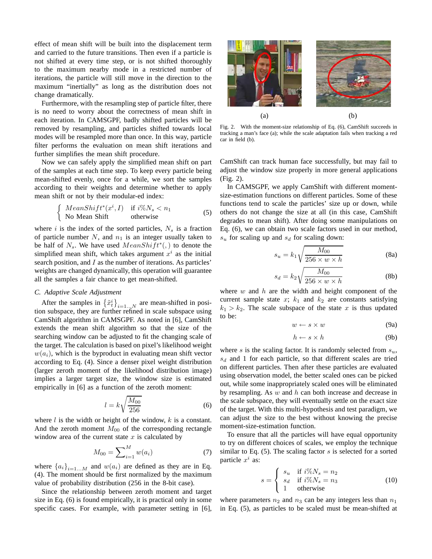effect of mean shift will be built into the displacement term and carried to the future transitions. Then even if a particle is not shifted at every time step, or is not shifted thoroughly to the maximum nearby mode in a restricted number of iterations, the particle will still move in the direction to the maximum "inertially" as long as the distribution does not change dramatically.

Furthermore, with the resampling step of particle filter, there is no need to worry about the correctness of mean shift in each iteration. In CAMSGPF, badly shifted particles will be removed by resampling, and particles shifted towards local modes will be resampled more than once. In this way, particle filter performs the evaluation on mean shift iterations and further simplifies the mean shift procedure.

Now we can safely apply the simplified mean shift on part of the samples at each time step. To keep every particle being mean-shifted evenly, once for a while, we sort the samples according to their weights and determine whether to apply mean shift or not by their modular-ed index:

$$
\begin{cases}\nMeanShift^*(x^i, I) & \text{if } i\%N_s < n_1 \\
No Mean Shift & \text{otherwise}\n\end{cases} \tag{5}
$$

where i is the index of the sorted particles,  $N_s$  is a fraction of particle number  $N$ , and  $n_1$  is an integer usually taken to be half of  $N_s$ . We have used  $MeanShift^*(,)$  to denote the simplified mean shift, which takes argument  $x^i$  as the initial search position, and I as the number of iterations. As particles' weights are changed dynamically, this operation will guarantee all the samples a fair chance to get mean-shifted.

# *C. Adaptive Scale Adjustment*

After the samples in  $\left\{\tilde{x}_t^i\right\}_{i=1...N}$  are mean-shifted in position subspace, they are further refined in scale subspace using CamShift algorithm in CAMSGPF. As noted in [6], CamShift extends the mean shift algorithm so that the size of the searching window can be adjusted to fit the changing scale of the target. The calculation is based on pixel's likelihood weight  $w(a_i)$ , which is the byproduct in evaluating mean shift vector according to Eq. (4). Since a denser pixel weight distribution (larger zeroth moment of the likelihood distribution image) implies a larger target size, the window size is estimated empirically in [6] as a function of the zeroth moment:

$$
l = k\sqrt{\frac{M_{00}}{256}}\tag{6}
$$

where  $l$  is the width or height of the window,  $k$  is a constant. And the zeroth moment  $M_{00}$  of the corresponding rectangle window area of the current state  $x$  is calculated by

$$
M_{00} = \sum_{i=1}^{M} w(a_i)
$$
 (7)

where  ${a_i}_{i=1...M}$  and  $w(a_i)$  are defined as they are in Eq. (4). The moment should be first normalized by the maximum value of probability distribution (256 in the 8-bit case).

Since the relationship between zeroth moment and target size in Eq. (6) is found empirically, it is practical only in some specific cases. For example, with parameter setting in [6],



Fig. 2. With the moment-size relationship of Eq. (6), CamShift succeeds in tracking a man's face (a); while the scale adaptation fails when tracking a red car in field (b).

CamShift can track human face successfully, but may fail to adjust the window size properly in more general applications (Fig. 2).

In CAMSGPF, we apply CamShift with different momentsize-estimation functions on different particles. Some of these functions tend to scale the particles' size up or down, while others do not change the size at all (in this case, CamShift degrades to mean shift). After doing some manipulations on Eq. (6), we can obtain two scale factors used in our method,  $s_u$  for scaling up and  $s_d$  for scaling down:

$$
s_u = k_1 \sqrt{\frac{M_{00}}{256 \times w \times h}}
$$
 (8a)

$$
s_d = k_2 \sqrt{\frac{M_{00}}{256 \times w \times h}}
$$
 (8b)

where  $w$  and  $h$  are the width and height component of the current sample state x;  $k_1$  and  $k_2$  are constants satisfying  $k_1 > k_2$ . The scale subspace of the state x is thus updated to be:

$$
w \leftarrow s \times w \tag{9a}
$$

$$
h \leftarrow s \times h \tag{9b}
$$

where s is the scaling factor. It is randomly selected from  $s_u$ ,  $s_d$  and 1 for each particle, so that different scales are tried on different particles. Then after these particles are evaluated using observation model, the better scaled ones can be picked out, while some inappropriately scaled ones will be eliminated by resampling. As  $w$  and  $h$  can both increase and decrease in the scale subspace, they will eventually settle on the exact size of the target. With this multi-hypothesis and test paradigm, we can adjust the size to the best without knowing the precise moment-size-estimation function.

To ensure that all the particles will have equal opportunity to try on different choices of scales, we employ the technique similar to Eq.  $(5)$ . The scaling factor s is selected for a sorted particle  $x^i$  as:

$$
s = \begin{cases} s_u & \text{if } i\%N_s = n_2\\ s_d & \text{if } i\%N_s = n_3\\ 1 & \text{otherwise} \end{cases}
$$
(10)

where parameters  $n_2$  and  $n_3$  can be any integers less than  $n_1$ in Eq. (5), as particles to be scaled must be mean-shifted at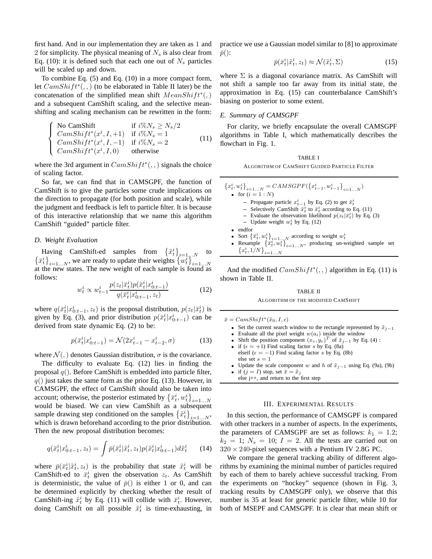first hand. And in our implementation they are taken as 1 and 2 for simplicity. The physical meaning of  $N<sub>s</sub>$  is also clear from Eq. (10): it is defined such that each one out of  $N_s$  particles will be scaled up and down.

To combine Eq. (5) and Eq. (10) in a more compact form, let  $CamShift^*(, )$  (to be elaborated in Table II later) be the concatenation of the simplified mean shift  $MeanShift^*(,)$ and a subsequent CamShift scaling, and the selective meanshifting and scaling mechanism can be rewritten in the form:

$$
\begin{cases}\n\text{No CamShift} & \text{if } i\%N_s \ge N_s/2 \\
\text{CamShift}^*(x^i, I, +1) & \text{if } i\%N_s = 1 \\
\text{CamShift}^*(x^i, I, -1) & \text{if } i\%N_s = 2 \\
\text{CamShift}^*(x^i, I, 0) & \text{otherwise}\n\end{cases} \tag{11}
$$

where the 3rd argument in  $CamShift^*(,.)$  signals the choice of scaling factor.

So far, we can find that in CAMSGPF, the function of CamShift is to give the particles some crude implications on the direction to propagate (for both position and scale), while the judgment and feedback is left to particle filter. It is because of this interactive relationship that we name this algorithm CamShift "guided" particle filter.

# *D. Weight Evaluation*

Having CamShift-ed samples from  $\left\{\tilde{x}_t^i\right\}_{i=1,\dots N}$  to  $\{\bar{x}_t^i\}_{i=1...N}$ , we are ready to update their weights  $\{w_t^i\}_{i=1...N}$  at the new states. The new weight of each sample is found as follows:

$$
w_t^i \propto w_{t-1}^i \frac{p(z_t|\bar{x}_t^i)p(\bar{x}_t^i|x_{0:t-1}^i)}{q(\bar{x}_t^i|x_{0:t-1}^i, z_t)}
$$
(12)

where  $q(\bar{x}_t^i|x_{0:t-1}^i, z_t)$  is the proposal distribution,  $p(z_t|\bar{x}_t^i)$  is given by Eq. (3), and prior distribution  $p(\bar{x}_t^i|x_{0:t-1}^i)$  can be derived from state dynamic Eq. (2) to be:

$$
p(\bar{x}_t^i | x_{0:t-1}^i) = \mathcal{N}(2x_{t-1}^i - x_{t-2}^i, \sigma) \tag{13}
$$

where  $\mathcal{N}(, \cdot)$  denotes Gaussian distribution,  $\sigma$  is the covariance.

The difficulty to evaluate Eq. (12) lies in finding the proposal  $q()$ . Before CamShift is embedded into particle filter,  $q()$  just takes the same form as the prior Eq. (13). However, in CAMSGPF, the effect of CamShift should also be taken into account; otherwise, the posterior estimated by  $\left\{\bar{x}_t^i, w_t^i\right\}_{i=1...N}$ would be biased. We can view CamShift as a subsequent sample drawing step conditioned on the samples  $\left\{\tilde{x}_t^i\right\}_{i=1...N}$ , which is drawn beforehand according to the prior distribution. Then the new proposal distribution becomes:

$$
q(\bar{x}_t^i | x_{0:t-1}^i, z_t) = \int \bar{p}(\bar{x}_t^i | \tilde{x}_t^i, z_t) p(\tilde{x}_t^i | x_{0:t-1}^i) d\tilde{x}_t^i \qquad (14)
$$

where  $\bar{p}(\bar{x}_t^i|\tilde{x}_t^i, z_t)$  is the probability that state  $\tilde{x}_t^i$  will be CamShift-ed to  $\bar{x}_t^i$  given the observation  $z_t$ . As CamShift is deterministic, the value of  $\bar{p}()$  is either 1 or 0, and can be determined explicitly by checking whether the result of CamShift-ing  $\tilde{x}_t^i$  by Eq. (11) will collide with  $\bar{x}_t^i$ . However, doing CamShift on all possible  $\tilde{x}_t^i$  is time-exhausting, in

practice we use a Gaussian model similar to [8] to approximate  $\bar{p}$ ():

$$
\bar{p}(\bar{x}_t^i|\tilde{x}_t^i, z_t) \approx \mathcal{N}(\tilde{x}_t^i, \Sigma) \tag{15}
$$

where  $\Sigma$  is a diagonal covariance matrix. As CamShift will not shift a sample too far away from its initial state, the approximation in Eq. (15) can counterbalance CamShift's biasing on posterior to some extent.

## *E. Summary of CAMSGPF*

For clarity, we briefly encapsulate the overall CAMSGPF algorithms in Table I, which mathematically describes the flowchart in Fig. 1.

TABLE I ALGORITHM OF CAMSHIFT GUIDED PARTICLE FILTER

| ${x_i^i, w_i^i}_{i=1}$ $_N = CAMSGPF({x_{t-1}^i, w_{t-1}^i}_{i=1}^i)$                                                                               |
|-----------------------------------------------------------------------------------------------------------------------------------------------------|
| • for $(i = 1 : N)$                                                                                                                                 |
| - Propagate particle $x_{t-1}^i$ by Eq. (2) to get $\tilde{x}_t^i$                                                                                  |
| - Selectively CamShift $\tilde{x}_t^i$ to $\bar{x}_t^i$ according to Eq. (11)                                                                       |
| - Evaluate the observation likelihood $p(z_t \bar{x}_t^i)$ by Eq. (3)                                                                               |
| - Update weight $w_t^i$ by Eq. (12)                                                                                                                 |
| $\bullet$ endfor                                                                                                                                    |
| • Sort $\{\bar{x}_t^i, w_t^i\}_{i=1N}$ according to weight $w_t^i$<br>• Resample $\{\bar{x}_t^i, w_t^i\}_{i=1N}$ , producing un-weighted sample set |
|                                                                                                                                                     |
| ${x_t^i, 1/N}_{i=1}^N$                                                                                                                              |

And the modified  $CamShift^*(, )$  algorithm in Eq. (11) is shown in Table II.

# TABLE II ALGORITHM OF THE MODIFIED CAMSHIFT

 $\bar{x} = CamShift^*(\tilde{x}_0, I, \epsilon)$ 

- Set the current search window to the rectangle represented by  $\tilde{x}_{j-1}$
- Evaluate all the pixel weight  $w(a_i)$  inside the window
- Shift the position component  $(x_c, y_c)^T$  of  $\tilde{x}_{j-1}$  by Eq. (4):
- if  $(\epsilon = +1)$  Find scaling factor s by Eq. (8a) elseif ( $\epsilon = -1$ ) Find scaling factor s by Eq. (8b) else set  $s = 1$
- Update the scale component w and h of  $\tilde{x}_{j-1}$  using Eq. (9a), (9b)
- if  $(j = I)$  stop, set  $\bar{x} = \tilde{x}_j$
- else j++, and return to the first step

#### III. EXPERIMENTAL RESULTS

In this section, the performance of CAMSGPF is compared with other trackers in a number of aspects. In the experiments, the parameters of CAMSGPF are set as follows:  $k_1 = 1.2$ ;  $k_2 = 1$ ;  $N_s = 10$ ;  $I = 2$ . All the tests are carried out on  $320 \times 240$ -pixel sequences with a Pentium IV 2.8G PC.

We compare the general tracking ability of different algorithms by examining the minimal number of particles required by each of them to barely achieve successful tracking. From the experiments on "hockey" sequence (shown in Fig. 3, tracking results by CAMSGPF only), we observe that this number is 35 at least for generic particle filter, while 10 for both of MSEPF and CAMSGPF. It is clear that mean shift or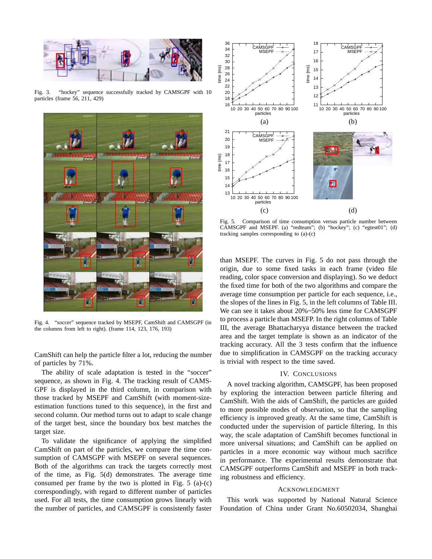

Fig. 3. "hockey" sequence successfully tracked by CAMSGPF with 10 particles (frame 56, 211, 429)



Fig. 4. "soccer" sequence tracked by MSEPF, CamShift and CAMSGPF (in the columns from left to right). (frame 114, 123, 176, 193)

CamShift can help the particle filter a lot, reducing the number of particles by 71%.

The ability of scale adaptation is tested in the "soccer" sequence, as shown in Fig. 4. The tracking result of CAMS-GPF is displayed in the third column, in comparison with those tracked by MSEPF and CamShift (with moment-sizeestimation functions tuned to this sequence), in the first and second column. Our method turns out to adapt to scale change of the target best, since the boundary box best matches the target size.

To validate the significance of applying the simplified CamShift on part of the particles, we compare the time consumption of CAMSGPF with MSEPF on several sequences. Both of the algorithms can track the targets correctly most of the time, as Fig. 5(d) demonstrates. The average time consumed per frame by the two is plotted in Fig. 5 (a)-(c) correspondingly, with regard to different number of particles used. For all tests, the time consumption grows linearly with the number of particles, and CAMSGPF is consistently faster



Fig. 5. Comparison of time consumption versus particle number between CAMSGPF and MSEPF. (a) "redteam"; (b) "hockey"; (c) "egtest01"; (d) tracking samples corresponding to (a)-(c)

than MSEPF. The curves in Fig. 5 do not pass through the origin, due to some fixed tasks in each frame (video file reading, color space conversion and displaying). So we deduct the fixed time for both of the two algorithms and compare the average time consumption per particle for each sequence, i.e., the slopes of the lines in Fig. 5, in the left columns of Table III. We can see it takes about 20%~50% less time for CAMSGPF to process a particle than MSEFP. In the right columns of Table III, the average Bhattacharyya distance between the tracked area and the target template is shown as an indicator of the tracking accuracy. All the 3 tests confirm that the influence due to simplification in CAMSGPF on the tracking accuracy is trivial with respect to the time saved.

## IV. CONCLUSIONS

A novel tracking algorithm, CAMSGPF, has been proposed by exploring the interaction between particle filtering and CamShift. With the aids of CamShift, the particles are guided to more possible modes of observation, so that the sampling efficiency is improved greatly. At the same time, CamShift is conducted under the supervision of particle filtering. In this way, the scale adaptation of CamShift becomes functional in more universal situations; and CamShift can be applied on particles in a more economic way without much sacrifice in performance. The experimental results demonstrate that CAMSGPF outperforms CamShift and MSEPF in both tracking robustness and efficiency.

#### ACKNOWLEDGMENT

This work was supported by National Natural Science Foundation of China under Grant No.60502034, Shanghai